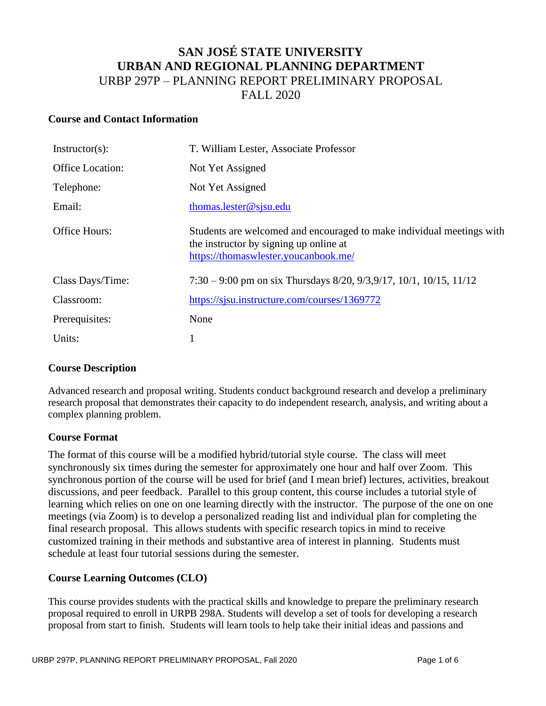# **SAN JOSÉ STATE UNIVERSITY URBAN AND REGIONAL PLANNING DEPARTMENT** URBP 297P – PLANNING REPORT PRELIMINARY PROPOSAL FALL 2020

### **Course and Contact Information**

| $Instructor(s)$ :    | T. William Lester, Associate Professor                                                                                                                  |  |  |
|----------------------|---------------------------------------------------------------------------------------------------------------------------------------------------------|--|--|
| Office Location:     | Not Yet Assigned                                                                                                                                        |  |  |
| Telephone:           | Not Yet Assigned                                                                                                                                        |  |  |
| Email:               | thomas.lester@sjsu.edu                                                                                                                                  |  |  |
| <b>Office Hours:</b> | Students are welcomed and encouraged to make individual meetings with<br>the instructor by signing up online at<br>https://thomaswlester.youcanbook.me/ |  |  |
| Class Days/Time:     | $7:30 - 9:00$ pm on six Thursdays 8/20, 9/3, 9/17, 10/1, 10/15, 11/12                                                                                   |  |  |
| Classroom:           | https://sjsu.instructure.com/courses/1369772                                                                                                            |  |  |
| Prerequisites:       | None                                                                                                                                                    |  |  |
| Units:               |                                                                                                                                                         |  |  |

## **Course Description**

Advanced research and proposal writing. Students conduct background research and develop a preliminary research proposal that demonstrates their capacity to do independent research, analysis, and writing about a complex planning problem.

#### **Course Format**

The format of this course will be a modified hybrid/tutorial style course. The class will meet synchronously six times during the semester for approximately one hour and half over Zoom. This synchronous portion of the course will be used for brief (and I mean brief) lectures, activities, breakout discussions, and peer feedback. Parallel to this group content, this course includes a tutorial style of learning which relies on one on one learning directly with the instructor. The purpose of the one on one meetings (via Zoom) is to develop a personalized reading list and individual plan for completing the final research proposal. This allows students with specific research topics in mind to receive customized training in their methods and substantive area of interest in planning. Students must schedule at least four tutorial sessions during the semester.

## **Course Learning Outcomes (CLO)**

This course provides students with the practical skills and knowledge to prepare the preliminary research proposal required to enroll in URPB 298A. Students will develop a set of tools for developing a research proposal from start to finish. Students will learn tools to help take their initial ideas and passions and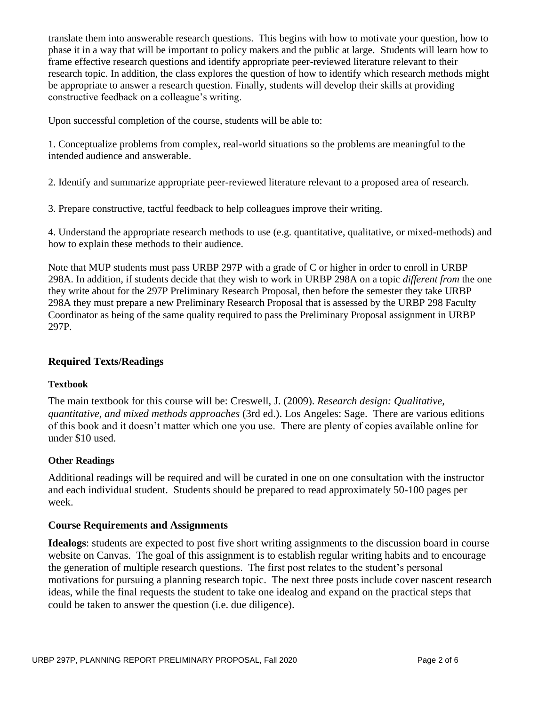translate them into answerable research questions. This begins with how to motivate your question, how to phase it in a way that will be important to policy makers and the public at large. Students will learn how to frame effective research questions and identify appropriate peer-reviewed literature relevant to their research topic. In addition, the class explores the question of how to identify which research methods might be appropriate to answer a research question. Finally, students will develop their skills at providing constructive feedback on a colleague's writing.

Upon successful completion of the course, students will be able to:

1. Conceptualize problems from complex, real-world situations so the problems are meaningful to the intended audience and answerable.

2. Identify and summarize appropriate peer-reviewed literature relevant to a proposed area of research.

3. Prepare constructive, tactful feedback to help colleagues improve their writing.

4. Understand the appropriate research methods to use (e.g. quantitative, qualitative, or mixed-methods) and how to explain these methods to their audience.

Note that MUP students must pass URBP 297P with a grade of C or higher in order to enroll in URBP 298A. In addition, if students decide that they wish to work in URBP 298A on a topic *different from* the one they write about for the 297P Preliminary Research Proposal, then before the semester they take URBP 298A they must prepare a new Preliminary Research Proposal that is assessed by the URBP 298 Faculty Coordinator as being of the same quality required to pass the Preliminary Proposal assignment in URBP 297P.

# **Required Texts/Readings**

## **Textbook**

The main textbook for this course will be: Creswell, J. (2009). *Research design: Qualitative, quantitative, and mixed methods approaches* (3rd ed.). Los Angeles: Sage. There are various editions of this book and it doesn't matter which one you use. There are plenty of copies available online for under \$10 used.

## **Other Readings**

Additional readings will be required and will be curated in one on one consultation with the instructor and each individual student. Students should be prepared to read approximately 50-100 pages per week.

## **Course Requirements and Assignments**

**Idealogs**: students are expected to post five short writing assignments to the discussion board in course website on Canvas. The goal of this assignment is to establish regular writing habits and to encourage the generation of multiple research questions. The first post relates to the student's personal motivations for pursuing a planning research topic. The next three posts include cover nascent research ideas, while the final requests the student to take one idealog and expand on the practical steps that could be taken to answer the question (i.e. due diligence).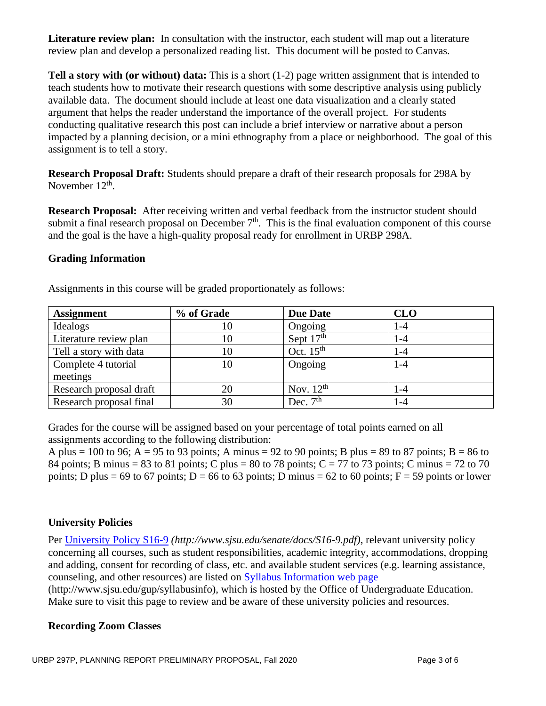**Literature review plan:** In consultation with the instructor, each student will map out a literature review plan and develop a personalized reading list. This document will be posted to Canvas.

**Tell a story with (or without) data:** This is a short (1-2) page written assignment that is intended to teach students how to motivate their research questions with some descriptive analysis using publicly available data. The document should include at least one data visualization and a clearly stated argument that helps the reader understand the importance of the overall project. For students conducting qualitative research this post can include a brief interview or narrative about a person impacted by a planning decision, or a mini ethnography from a place or neighborhood. The goal of this assignment is to tell a story.

**Research Proposal Draft:** Students should prepare a draft of their research proposals for 298A by November  $12^{th}$ .

**Research Proposal:** After receiving written and verbal feedback from the instructor student should submit a final research proposal on December  $7<sup>th</sup>$ . This is the final evaluation component of this course and the goal is the have a high-quality proposal ready for enrollment in URBP 298A.

## **Grading Information**

Assignments in this course will be graded proportionately as follows:

| <b>Assignment</b>       | % of Grade | <b>Due Date</b> | <b>CLO</b> |
|-------------------------|------------|-----------------|------------|
| Idealogs                | 10         | Ongoing         | 1-4        |
| Literature review plan  | 10         | Sept $17th$     | $1-4$      |
| Tell a story with data  | 10         | Oct. $15th$     | 1-4        |
| Complete 4 tutorial     | 10         | Ongoing         | $1 - 4$    |
| meetings                |            |                 |            |
| Research proposal draft | 20         | Nov. $12^{th}$  | $-4$       |
| Research proposal final | 30         | Dec. $7th$      | $-4$       |

Grades for the course will be assigned based on your percentage of total points earned on all assignments according to the following distribution:

A plus = 100 to 96; A = 95 to 93 points; A minus = 92 to 90 points; B plus = 89 to 87 points; B = 86 to 84 points; B minus = 83 to 81 points; C plus = 80 to 78 points; C = 77 to 73 points; C minus = 72 to 70 points; D plus = 69 to 67 points; D = 66 to 63 points; D minus = 62 to 60 points; F = 59 points or lower

## **University Policies**

Per [University Policy S16-9](http://www.sjsu.edu/senate/docs/S16-9.pdf) *(http://www.sjsu.edu/senate/docs/S16-9.pdf)*, relevant university policy concerning all courses, such as student responsibilities, academic integrity, accommodations, dropping and adding, consent for recording of class, etc. and available student services (e.g. learning assistance, counseling, and other resources) are listed on [Syllabus Information](http://www.sjsu.edu/gup/syllabusinfo/) web page

(http://www.sjsu.edu/gup/syllabusinfo), which is hosted by the Office of Undergraduate Education. Make sure to visit this page to review and be aware of these university policies and resources.

## **Recording Zoom Classes**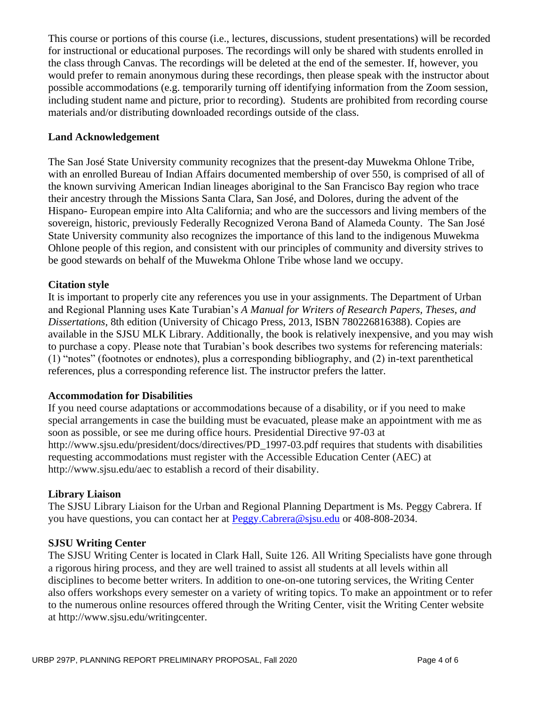This course or portions of this course (i.e., lectures, discussions, student presentations) will be recorded for instructional or educational purposes. The recordings will only be shared with students enrolled in the class through Canvas. The recordings will be deleted at the end of the semester. If, however, you would prefer to remain anonymous during these recordings, then please speak with the instructor about possible accommodations (e.g. temporarily turning off identifying information from the Zoom session, including student name and picture, prior to recording). Students are prohibited from recording course materials and/or distributing downloaded recordings outside of the class.

### **Land Acknowledgement**

The San José State University community recognizes that the present-day Muwekma Ohlone Tribe, with an enrolled Bureau of Indian Affairs documented membership of over 550, is comprised of all of the known surviving American Indian lineages aboriginal to the San Francisco Bay region who trace their ancestry through the Missions Santa Clara, San José, and Dolores, during the advent of the Hispano- European empire into Alta California; and who are the successors and living members of the sovereign, historic, previously Federally Recognized Verona Band of Alameda County. The San José State University community also recognizes the importance of this land to the indigenous Muwekma Ohlone people of this region, and consistent with our principles of community and diversity strives to be good stewards on behalf of the Muwekma Ohlone Tribe whose land we occupy.

## **Citation style**

It is important to properly cite any references you use in your assignments. The Department of Urban and Regional Planning uses Kate Turabian's *A Manual for Writers of Research Papers, Theses, and Dissertations*, 8th edition (University of Chicago Press, 2013, ISBN 780226816388). Copies are available in the SJSU MLK Library. Additionally, the book is relatively inexpensive, and you may wish to purchase a copy. Please note that Turabian's book describes two systems for referencing materials: (1) "notes" (footnotes or endnotes), plus a corresponding bibliography, and (2) in-text parenthetical references, plus a corresponding reference list. The instructor prefers the latter.

#### **Accommodation for Disabilities**

If you need course adaptations or accommodations because of a disability, or if you need to make special arrangements in case the building must be evacuated, please make an appointment with me as soon as possible, or see me during office hours. Presidential Directive 97-03 at http://www.sjsu.edu/president/docs/directives/PD\_1997-03.pdf requires that students with disabilities requesting accommodations must register with the Accessible Education Center (AEC) at http://www.sjsu.edu/aec to establish a record of their disability.

#### **Library Liaison**

The SJSU Library Liaison for the Urban and Regional Planning Department is Ms. Peggy Cabrera. If you have questions, you can contact her at [Peggy.Cabrera@sjsu.edu](mailto:Peggy.Cabrera@sjsu.edu) or 408-808-2034.

#### **SJSU Writing Center**

The SJSU Writing Center is located in Clark Hall, Suite 126. All Writing Specialists have gone through a rigorous hiring process, and they are well trained to assist all students at all levels within all disciplines to become better writers. In addition to one-on-one tutoring services, the Writing Center also offers workshops every semester on a variety of writing topics. To make an appointment or to refer to the numerous online resources offered through the Writing Center, visit the Writing Center website at http://www.sjsu.edu/writingcenter.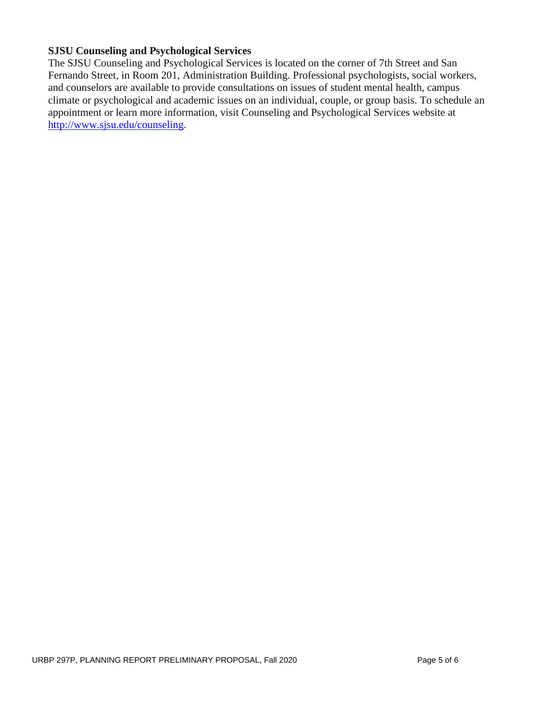## **SJSU Counseling and Psychological Services**

The SJSU Counseling and Psychological Services is located on the corner of 7th Street and San Fernando Street, in Room 201, Administration Building. Professional psychologists, social workers, and counselors are available to provide consultations on issues of student mental health, campus climate or psychological and academic issues on an individual, couple, or group basis. To schedule an appointment or learn more information, visit Counseling and Psychological Services website at [http://www.sjsu.edu/counseling.](http://www.sjsu.edu/counseling)